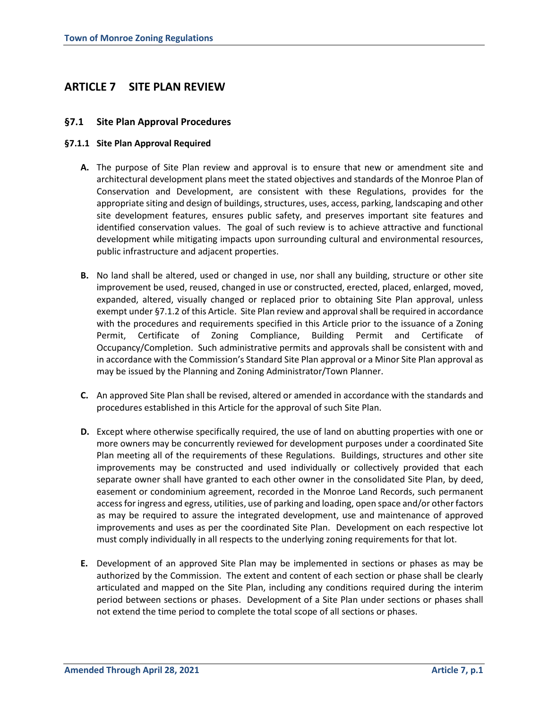# **ARTICLE 7 SITE PLAN REVIEW**

# **§7.1 Site Plan Approval Procedures**

### **§7.1.1 Site Plan Approval Required**

- **A.** The purpose of Site Plan review and approval is to ensure that new or amendment site and architectural development plans meet the stated objectives and standards of the Monroe Plan of Conservation and Development, are consistent with these Regulations, provides for the appropriate siting and design of buildings, structures, uses, access, parking, landscaping and other site development features, ensures public safety, and preserves important site features and identified conservation values. The goal of such review is to achieve attractive and functional development while mitigating impacts upon surrounding cultural and environmental resources, public infrastructure and adjacent properties.
- **B.** No land shall be altered, used or changed in use, nor shall any building, structure or other site improvement be used, reused, changed in use or constructed, erected, placed, enlarged, moved, expanded, altered, visually changed or replaced prior to obtaining Site Plan approval, unless exempt under §7.1.2 of this Article. Site Plan review and approval shall be required in accordance with the procedures and requirements specified in this Article prior to the issuance of a Zoning Permit, Certificate of Zoning Compliance, Building Permit and Certificate of Occupancy/Completion. Such administrative permits and approvals shall be consistent with and in accordance with the Commission's Standard Site Plan approval or a Minor Site Plan approval as may be issued by the Planning and Zoning Administrator/Town Planner.
- **C.** An approved Site Plan shall be revised, altered or amended in accordance with the standards and procedures established in this Article for the approval of such Site Plan.
- **D.** Except where otherwise specifically required, the use of land on abutting properties with one or more owners may be concurrently reviewed for development purposes under a coordinated Site Plan meeting all of the requirements of these Regulations. Buildings, structures and other site improvements may be constructed and used individually or collectively provided that each separate owner shall have granted to each other owner in the consolidated Site Plan, by deed, easement or condominium agreement, recorded in the Monroe Land Records, such permanent accessfor ingress and egress, utilities, use of parking and loading, open space and/or other factors as may be required to assure the integrated development, use and maintenance of approved improvements and uses as per the coordinated Site Plan. Development on each respective lot must comply individually in all respects to the underlying zoning requirements for that lot.
- **E.** Development of an approved Site Plan may be implemented in sections or phases as may be authorized by the Commission. The extent and content of each section or phase shall be clearly articulated and mapped on the Site Plan, including any conditions required during the interim period between sections or phases. Development of a Site Plan under sections or phases shall not extend the time period to complete the total scope of all sections or phases.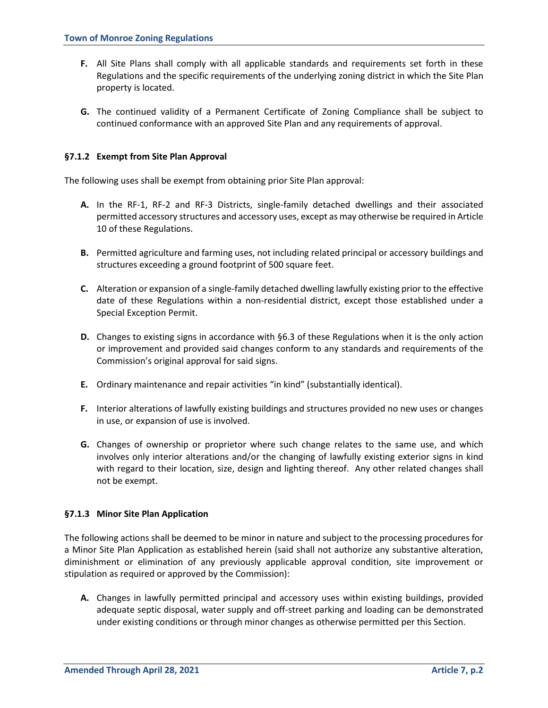- **F.** All Site Plans shall comply with all applicable standards and requirements set forth in these Regulations and the specific requirements of the underlying zoning district in which the Site Plan property is located.
- **G.** The continued validity of a Permanent Certificate of Zoning Compliance shall be subject to continued conformance with an approved Site Plan and any requirements of approval.

### **§7.1.2 Exempt from Site Plan Approval**

The following uses shall be exempt from obtaining prior Site Plan approval:

- **A.** In the RF-1, RF-2 and RF-3 Districts, single-family detached dwellings and their associated permitted accessory structures and accessory uses, except as may otherwise be required in Article 10 of these Regulations.
- **B.** Permitted agriculture and farming uses, not including related principal or accessory buildings and structures exceeding a ground footprint of 500 square feet.
- **C.** Alteration or expansion of a single-family detached dwelling lawfully existing prior to the effective date of these Regulations within a non-residential district, except those established under a Special Exception Permit.
- **D.** Changes to existing signs in accordance with §6.3 of these Regulations when it is the only action or improvement and provided said changes conform to any standards and requirements of the Commission's original approval for said signs.
- **E.** Ordinary maintenance and repair activities "in kind" (substantially identical).
- **F.** Interior alterations of lawfully existing buildings and structures provided no new uses or changes in use, or expansion of use is involved.
- **G.** Changes of ownership or proprietor where such change relates to the same use, and which involves only interior alterations and/or the changing of lawfully existing exterior signs in kind with regard to their location, size, design and lighting thereof. Any other related changes shall not be exempt.

#### **§7.1.3 Minor Site Plan Application**

The following actions shall be deemed to be minor in nature and subject to the processing procedures for a Minor Site Plan Application as established herein (said shall not authorize any substantive alteration, diminishment or elimination of any previously applicable approval condition, site improvement or stipulation as required or approved by the Commission):

**A.** Changes in lawfully permitted principal and accessory uses within existing buildings, provided adequate septic disposal, water supply and off-street parking and loading can be demonstrated under existing conditions or through minor changes as otherwise permitted per this Section.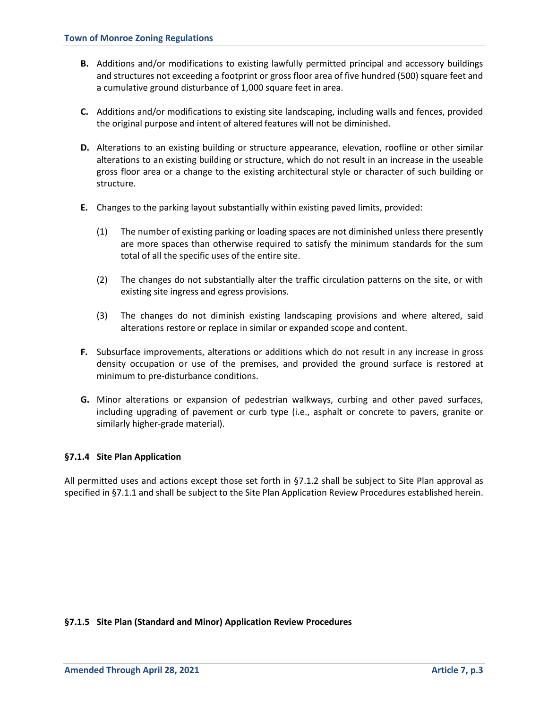- **B.** Additions and/or modifications to existing lawfully permitted principal and accessory buildings and structures not exceeding a footprint or gross floor area of five hundred (500) square feet and a cumulative ground disturbance of 1,000 square feet in area.
- **C.** Additions and/or modifications to existing site landscaping, including walls and fences, provided the original purpose and intent of altered features will not be diminished.
- **D.** Alterations to an existing building or structure appearance, elevation, roofline or other similar alterations to an existing building or structure, which do not result in an increase in the useable gross floor area or a change to the existing architectural style or character of such building or structure.
- **E.** Changes to the parking layout substantially within existing paved limits, provided:
	- (1) The number of existing parking or loading spaces are not diminished unless there presently are more spaces than otherwise required to satisfy the minimum standards for the sum total of all the specific uses of the entire site.
	- (2) The changes do not substantially alter the traffic circulation patterns on the site, or with existing site ingress and egress provisions.
	- (3) The changes do not diminish existing landscaping provisions and where altered, said alterations restore or replace in similar or expanded scope and content.
- **F.** Subsurface improvements, alterations or additions which do not result in any increase in gross density occupation or use of the premises, and provided the ground surface is restored at minimum to pre-disturbance conditions.
- **G.** Minor alterations or expansion of pedestrian walkways, curbing and other paved surfaces, including upgrading of pavement or curb type (i.e., asphalt or concrete to pavers, granite or similarly higher-grade material).

# **§7.1.4 Site Plan Application**

All permitted uses and actions except those set forth in §7.1.2 shall be subject to Site Plan approval as specified in §7.1.1 and shall be subject to the Site Plan Application Review Procedures established herein.

#### **§7.1.5 Site Plan (Standard and Minor) Application Review Procedures**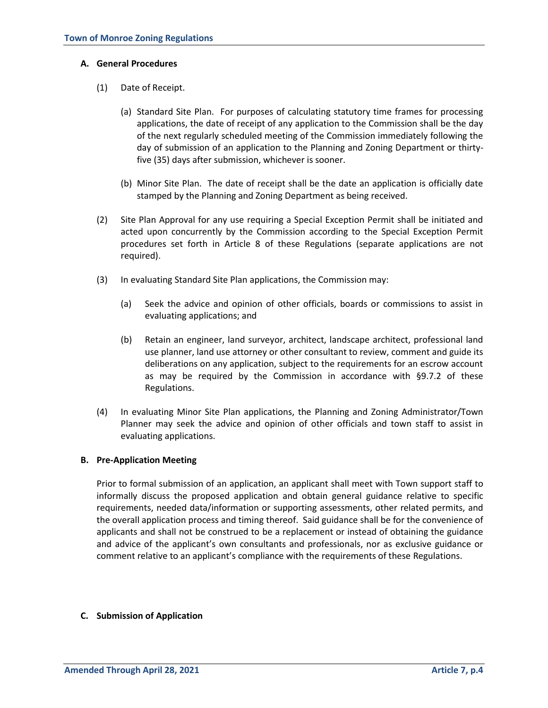#### **A. General Procedures**

- (1) Date of Receipt.
	- (a) Standard Site Plan. For purposes of calculating statutory time frames for processing applications, the date of receipt of any application to the Commission shall be the day of the next regularly scheduled meeting of the Commission immediately following the day of submission of an application to the Planning and Zoning Department or thirtyfive (35) days after submission, whichever is sooner.
	- (b) Minor Site Plan. The date of receipt shall be the date an application is officially date stamped by the Planning and Zoning Department as being received.
- (2) Site Plan Approval for any use requiring a Special Exception Permit shall be initiated and acted upon concurrently by the Commission according to the Special Exception Permit procedures set forth in Article 8 of these Regulations (separate applications are not required).
- (3) In evaluating Standard Site Plan applications, the Commission may:
	- (a) Seek the advice and opinion of other officials, boards or commissions to assist in evaluating applications; and
	- (b) Retain an engineer, land surveyor, architect, landscape architect, professional land use planner, land use attorney or other consultant to review, comment and guide its deliberations on any application, subject to the requirements for an escrow account as may be required by the Commission in accordance with §9.7.2 of these Regulations.
- (4) In evaluating Minor Site Plan applications, the Planning and Zoning Administrator/Town Planner may seek the advice and opinion of other officials and town staff to assist in evaluating applications.

#### **B. Pre-Application Meeting**

Prior to formal submission of an application, an applicant shall meet with Town support staff to informally discuss the proposed application and obtain general guidance relative to specific requirements, needed data/information or supporting assessments, other related permits, and the overall application process and timing thereof. Said guidance shall be for the convenience of applicants and shall not be construed to be a replacement or instead of obtaining the guidance and advice of the applicant's own consultants and professionals, nor as exclusive guidance or comment relative to an applicant's compliance with the requirements of these Regulations.

#### **C. Submission of Application**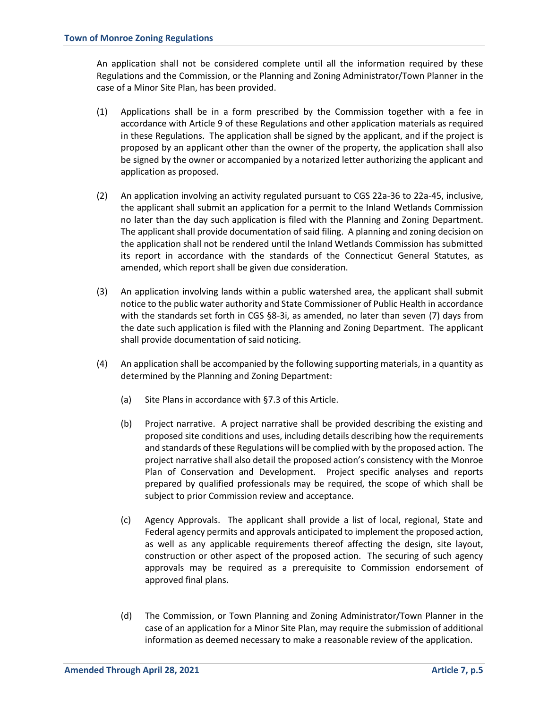An application shall not be considered complete until all the information required by these Regulations and the Commission, or the Planning and Zoning Administrator/Town Planner in the case of a Minor Site Plan, has been provided.

- (1) Applications shall be in a form prescribed by the Commission together with a fee in accordance with Article 9 of these Regulations and other application materials as required in these Regulations. The application shall be signed by the applicant, and if the project is proposed by an applicant other than the owner of the property, the application shall also be signed by the owner or accompanied by a notarized letter authorizing the applicant and application as proposed.
- (2) An application involving an activity regulated pursuant to CGS 22a-36 to 22a-45, inclusive, the applicant shall submit an application for a permit to the Inland Wetlands Commission no later than the day such application is filed with the Planning and Zoning Department. The applicant shall provide documentation of said filing. A planning and zoning decision on the application shall not be rendered until the Inland Wetlands Commission has submitted its report in accordance with the standards of the Connecticut General Statutes, as amended, which report shall be given due consideration.
- (3) An application involving lands within a public watershed area, the applicant shall submit notice to the public water authority and State Commissioner of Public Health in accordance with the standards set forth in CGS §8-3i, as amended, no later than seven (7) days from the date such application is filed with the Planning and Zoning Department. The applicant shall provide documentation of said noticing.
- (4) An application shall be accompanied by the following supporting materials, in a quantity as determined by the Planning and Zoning Department:
	- (a) Site Plans in accordance with §7.3 of this Article.
	- (b) Project narrative. A project narrative shall be provided describing the existing and proposed site conditions and uses, including details describing how the requirements and standards of these Regulations will be complied with by the proposed action. The project narrative shall also detail the proposed action's consistency with the Monroe Plan of Conservation and Development. Project specific analyses and reports prepared by qualified professionals may be required, the scope of which shall be subject to prior Commission review and acceptance.
	- (c) Agency Approvals. The applicant shall provide a list of local, regional, State and Federal agency permits and approvals anticipated to implement the proposed action, as well as any applicable requirements thereof affecting the design, site layout, construction or other aspect of the proposed action. The securing of such agency approvals may be required as a prerequisite to Commission endorsement of approved final plans.
	- (d) The Commission, or Town Planning and Zoning Administrator/Town Planner in the case of an application for a Minor Site Plan, may require the submission of additional information as deemed necessary to make a reasonable review of the application.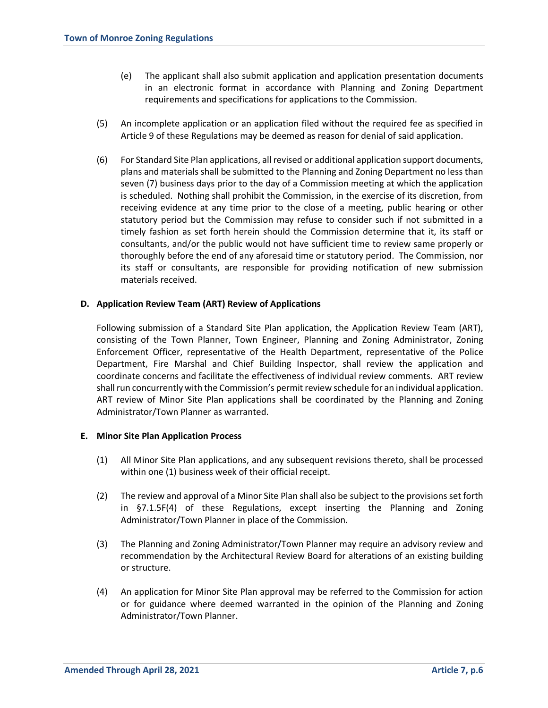- (e) The applicant shall also submit application and application presentation documents in an electronic format in accordance with Planning and Zoning Department requirements and specifications for applications to the Commission.
- (5) An incomplete application or an application filed without the required fee as specified in Article 9 of these Regulations may be deemed as reason for denial of said application.
- (6) For Standard Site Plan applications, all revised or additional application support documents, plans and materials shall be submitted to the Planning and Zoning Department no less than seven (7) business days prior to the day of a Commission meeting at which the application is scheduled. Nothing shall prohibit the Commission, in the exercise of its discretion, from receiving evidence at any time prior to the close of a meeting, public hearing or other statutory period but the Commission may refuse to consider such if not submitted in a timely fashion as set forth herein should the Commission determine that it, its staff or consultants, and/or the public would not have sufficient time to review same properly or thoroughly before the end of any aforesaid time or statutory period. The Commission, nor its staff or consultants, are responsible for providing notification of new submission materials received.

### **D. Application Review Team (ART) Review of Applications**

Following submission of a Standard Site Plan application, the Application Review Team (ART), consisting of the Town Planner, Town Engineer, Planning and Zoning Administrator, Zoning Enforcement Officer, representative of the Health Department, representative of the Police Department, Fire Marshal and Chief Building Inspector, shall review the application and coordinate concerns and facilitate the effectiveness of individual review comments. ART review shall run concurrently with the Commission's permit review schedule for an individual application. ART review of Minor Site Plan applications shall be coordinated by the Planning and Zoning Administrator/Town Planner as warranted.

#### **E. Minor Site Plan Application Process**

- (1) All Minor Site Plan applications, and any subsequent revisions thereto, shall be processed within one (1) business week of their official receipt.
- (2) The review and approval of a Minor Site Plan shall also be subject to the provisions set forth in §7.1.5F(4) of these Regulations, except inserting the Planning and Zoning Administrator/Town Planner in place of the Commission.
- (3) The Planning and Zoning Administrator/Town Planner may require an advisory review and recommendation by the Architectural Review Board for alterations of an existing building or structure.
- (4) An application for Minor Site Plan approval may be referred to the Commission for action or for guidance where deemed warranted in the opinion of the Planning and Zoning Administrator/Town Planner.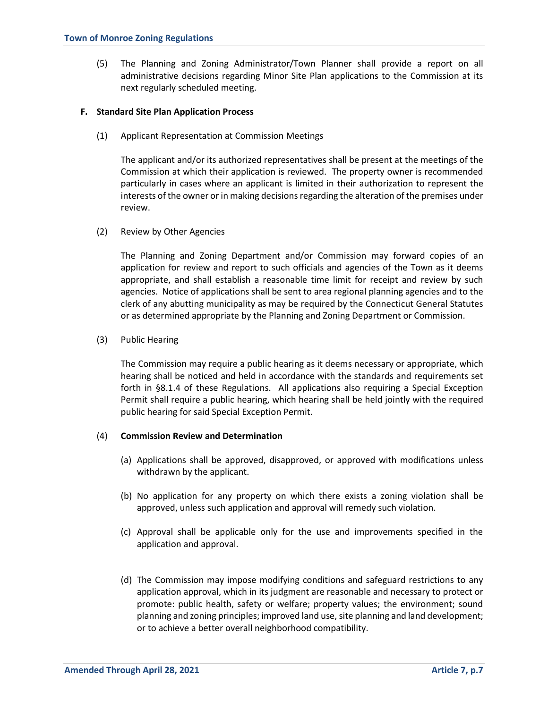(5) The Planning and Zoning Administrator/Town Planner shall provide a report on all administrative decisions regarding Minor Site Plan applications to the Commission at its next regularly scheduled meeting.

### **F. Standard Site Plan Application Process**

(1) Applicant Representation at Commission Meetings

The applicant and/or its authorized representatives shall be present at the meetings of the Commission at which their application is reviewed. The property owner is recommended particularly in cases where an applicant is limited in their authorization to represent the interests of the owner or in making decisions regarding the alteration of the premises under review.

(2) Review by Other Agencies

The Planning and Zoning Department and/or Commission may forward copies of an application for review and report to such officials and agencies of the Town as it deems appropriate, and shall establish a reasonable time limit for receipt and review by such agencies. Notice of applications shall be sent to area regional planning agencies and to the clerk of any abutting municipality as may be required by the Connecticut General Statutes or as determined appropriate by the Planning and Zoning Department or Commission.

(3) Public Hearing

The Commission may require a public hearing as it deems necessary or appropriate, which hearing shall be noticed and held in accordance with the standards and requirements set forth in §8.1.4 of these Regulations. All applications also requiring a Special Exception Permit shall require a public hearing, which hearing shall be held jointly with the required public hearing for said Special Exception Permit.

# (4) **Commission Review and Determination**

- (a) Applications shall be approved, disapproved, or approved with modifications unless withdrawn by the applicant.
- (b) No application for any property on which there exists a zoning violation shall be approved, unless such application and approval will remedy such violation.
- (c) Approval shall be applicable only for the use and improvements specified in the application and approval.
- (d) The Commission may impose modifying conditions and safeguard restrictions to any application approval, which in its judgment are reasonable and necessary to protect or promote: public health, safety or welfare; property values; the environment; sound planning and zoning principles; improved land use, site planning and land development; or to achieve a better overall neighborhood compatibility.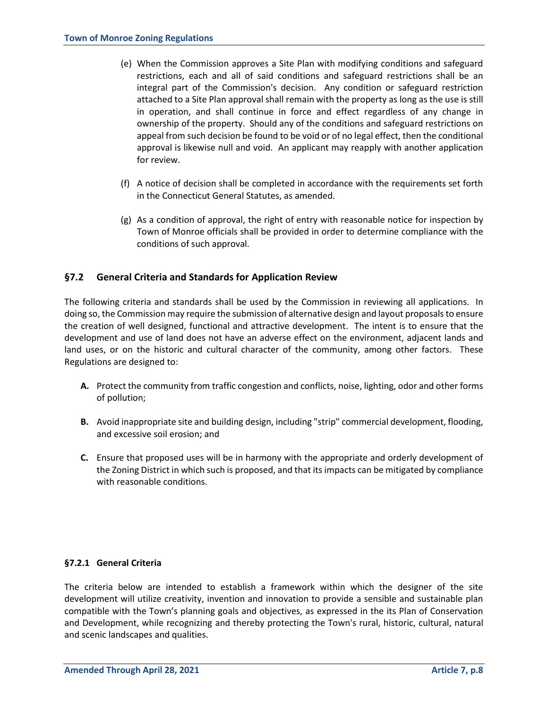- (e) When the Commission approves a Site Plan with modifying conditions and safeguard restrictions, each and all of said conditions and safeguard restrictions shall be an integral part of the Commission's decision. Any condition or safeguard restriction attached to a Site Plan approval shall remain with the property as long as the use is still in operation, and shall continue in force and effect regardless of any change in ownership of the property. Should any of the conditions and safeguard restrictions on appeal from such decision be found to be void or of no legal effect, then the conditional approval is likewise null and void. An applicant may reapply with another application for review.
- (f) A notice of decision shall be completed in accordance with the requirements set forth in the Connecticut General Statutes, as amended.
- (g) As a condition of approval, the right of entry with reasonable notice for inspection by Town of Monroe officials shall be provided in order to determine compliance with the conditions of such approval.

# **§7.2 General Criteria and Standards for Application Review**

The following criteria and standards shall be used by the Commission in reviewing all applications. In doing so, the Commission may require the submission of alternative design and layout proposals to ensure the creation of well designed, functional and attractive development. The intent is to ensure that the development and use of land does not have an adverse effect on the environment, adjacent lands and land uses, or on the historic and cultural character of the community, among other factors. These Regulations are designed to:

- **A.** Protect the community from traffic congestion and conflicts, noise, lighting, odor and other forms of pollution;
- **B.** Avoid inappropriate site and building design, including "strip" commercial development, flooding, and excessive soil erosion; and
- **C.** Ensure that proposed uses will be in harmony with the appropriate and orderly development of the Zoning District in which such is proposed, and that its impacts can be mitigated by compliance with reasonable conditions.

# **§7.2.1 General Criteria**

The criteria below are intended to establish a framework within which the designer of the site development will utilize creativity, invention and innovation to provide a sensible and sustainable plan compatible with the Town's planning goals and objectives, as expressed in the its Plan of Conservation and Development, while recognizing and thereby protecting the Town's rural, historic, cultural, natural and scenic landscapes and qualities.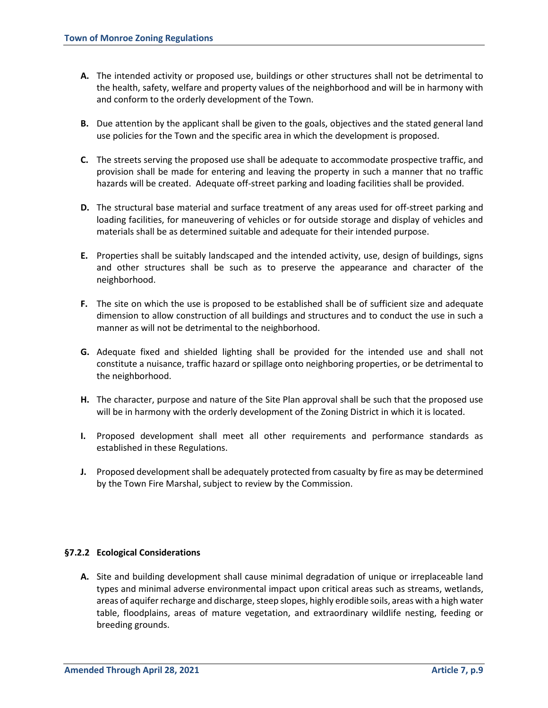- **A.** The intended activity or proposed use, buildings or other structures shall not be detrimental to the health, safety, welfare and property values of the neighborhood and will be in harmony with and conform to the orderly development of the Town.
- **B.** Due attention by the applicant shall be given to the goals, objectives and the stated general land use policies for the Town and the specific area in which the development is proposed.
- **C.** The streets serving the proposed use shall be adequate to accommodate prospective traffic, and provision shall be made for entering and leaving the property in such a manner that no traffic hazards will be created. Adequate off-street parking and loading facilities shall be provided.
- **D.** The structural base material and surface treatment of any areas used for off-street parking and loading facilities, for maneuvering of vehicles or for outside storage and display of vehicles and materials shall be as determined suitable and adequate for their intended purpose.
- **E.** Properties shall be suitably landscaped and the intended activity, use, design of buildings, signs and other structures shall be such as to preserve the appearance and character of the neighborhood.
- **F.** The site on which the use is proposed to be established shall be of sufficient size and adequate dimension to allow construction of all buildings and structures and to conduct the use in such a manner as will not be detrimental to the neighborhood.
- **G.** Adequate fixed and shielded lighting shall be provided for the intended use and shall not constitute a nuisance, traffic hazard or spillage onto neighboring properties, or be detrimental to the neighborhood.
- **H.** The character, purpose and nature of the Site Plan approval shall be such that the proposed use will be in harmony with the orderly development of the Zoning District in which it is located.
- **I.** Proposed development shall meet all other requirements and performance standards as established in these Regulations.
- **J.** Proposed development shall be adequately protected from casualty by fire as may be determined by the Town Fire Marshal, subject to review by the Commission.

# **§7.2.2 Ecological Considerations**

**A.** Site and building development shall cause minimal degradation of unique or irreplaceable land types and minimal adverse environmental impact upon critical areas such as streams, wetlands, areas of aquifer recharge and discharge, steep slopes, highly erodible soils, areas with a high water table, floodplains, areas of mature vegetation, and extraordinary wildlife nesting, feeding or breeding grounds.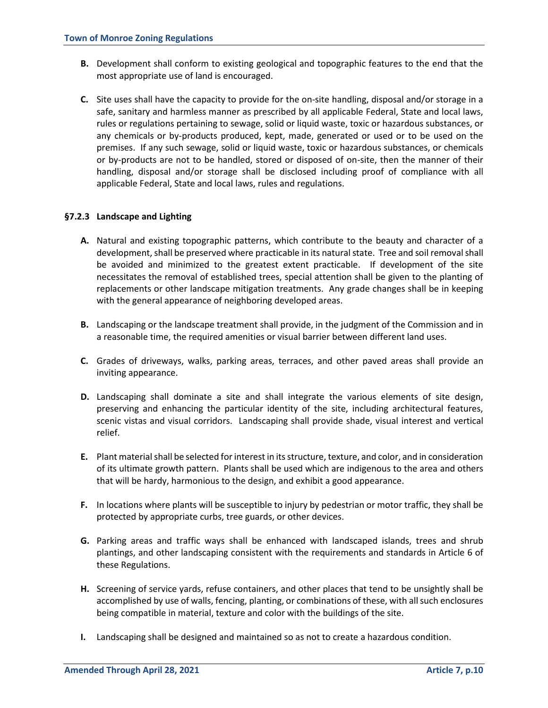- **B.** Development shall conform to existing geological and topographic features to the end that the most appropriate use of land is encouraged.
- **C.** Site uses shall have the capacity to provide for the on-site handling, disposal and/or storage in a safe, sanitary and harmless manner as prescribed by all applicable Federal, State and local laws, rules or regulations pertaining to sewage, solid or liquid waste, toxic or hazardous substances, or any chemicals or by-products produced, kept, made, generated or used or to be used on the premises. If any such sewage, solid or liquid waste, toxic or hazardous substances, or chemicals or by-products are not to be handled, stored or disposed of on-site, then the manner of their handling, disposal and/or storage shall be disclosed including proof of compliance with all applicable Federal, State and local laws, rules and regulations.

# **§7.2.3 Landscape and Lighting**

- **A.** Natural and existing topographic patterns, which contribute to the beauty and character of a development, shall be preserved where practicable in its natural state. Tree and soil removalshall be avoided and minimized to the greatest extent practicable. If development of the site necessitates the removal of established trees, special attention shall be given to the planting of replacements or other landscape mitigation treatments. Any grade changes shall be in keeping with the general appearance of neighboring developed areas.
- **B.** Landscaping or the landscape treatment shall provide, in the judgment of the Commission and in a reasonable time, the required amenities or visual barrier between different land uses.
- **C.** Grades of driveways, walks, parking areas, terraces, and other paved areas shall provide an inviting appearance.
- **D.** Landscaping shall dominate a site and shall integrate the various elements of site design, preserving and enhancing the particular identity of the site, including architectural features, scenic vistas and visual corridors. Landscaping shall provide shade, visual interest and vertical relief.
- **E.** Plant material shall be selected for interest in its structure, texture, and color, and in consideration of its ultimate growth pattern. Plants shall be used which are indigenous to the area and others that will be hardy, harmonious to the design, and exhibit a good appearance.
- **F.** In locations where plants will be susceptible to injury by pedestrian or motor traffic, they shall be protected by appropriate curbs, tree guards, or other devices.
- **G.** Parking areas and traffic ways shall be enhanced with landscaped islands, trees and shrub plantings, and other landscaping consistent with the requirements and standards in Article 6 of these Regulations.
- **H.** Screening of service yards, refuse containers, and other places that tend to be unsightly shall be accomplished by use of walls, fencing, planting, or combinations of these, with all such enclosures being compatible in material, texture and color with the buildings of the site.
- **I.** Landscaping shall be designed and maintained so as not to create a hazardous condition.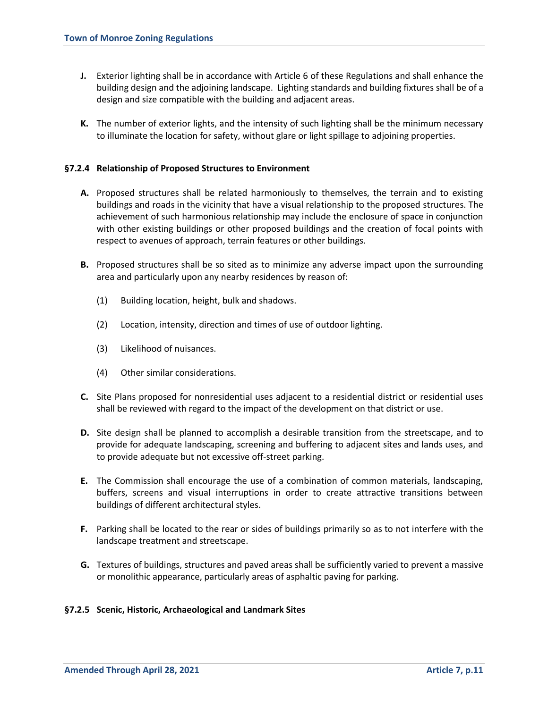- **J.** Exterior lighting shall be in accordance with Article 6 of these Regulations and shall enhance the building design and the adjoining landscape. Lighting standards and building fixtures shall be of a design and size compatible with the building and adjacent areas.
- **K.** The number of exterior lights, and the intensity of such lighting shall be the minimum necessary to illuminate the location for safety, without glare or light spillage to adjoining properties.

### **§7.2.4 Relationship of Proposed Structures to Environment**

- **A.** Proposed structures shall be related harmoniously to themselves, the terrain and to existing buildings and roads in the vicinity that have a visual relationship to the proposed structures. The achievement of such harmonious relationship may include the enclosure of space in conjunction with other existing buildings or other proposed buildings and the creation of focal points with respect to avenues of approach, terrain features or other buildings.
- **B.** Proposed structures shall be so sited as to minimize any adverse impact upon the surrounding area and particularly upon any nearby residences by reason of:
	- (1) Building location, height, bulk and shadows.
	- (2) Location, intensity, direction and times of use of outdoor lighting.
	- (3) Likelihood of nuisances.
	- (4) Other similar considerations.
- **C.** Site Plans proposed for nonresidential uses adjacent to a residential district or residential uses shall be reviewed with regard to the impact of the development on that district or use.
- **D.** Site design shall be planned to accomplish a desirable transition from the streetscape, and to provide for adequate landscaping, screening and buffering to adjacent sites and lands uses, and to provide adequate but not excessive off-street parking.
- **E.** The Commission shall encourage the use of a combination of common materials, landscaping, buffers, screens and visual interruptions in order to create attractive transitions between buildings of different architectural styles.
- **F.** Parking shall be located to the rear or sides of buildings primarily so as to not interfere with the landscape treatment and streetscape.
- **G.** Textures of buildings, structures and paved areas shall be sufficiently varied to prevent a massive or monolithic appearance, particularly areas of asphaltic paving for parking.

#### **§7.2.5 Scenic, Historic, Archaeological and Landmark Sites**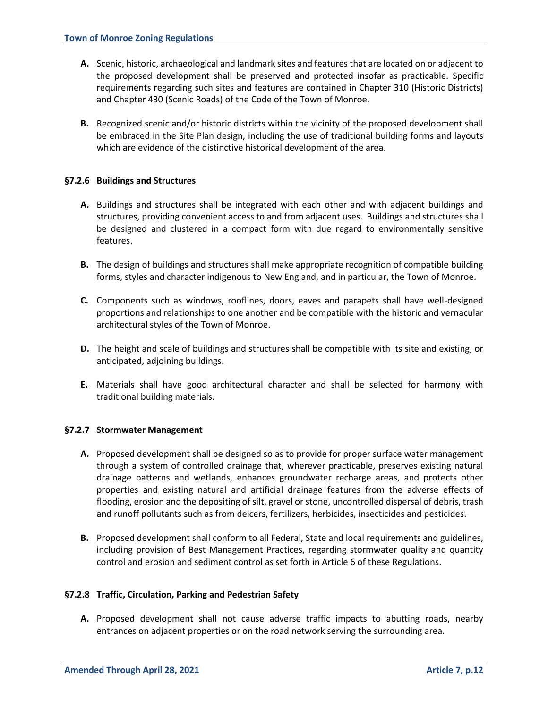- **A.** Scenic, historic, archaeological and landmark sites and features that are located on or adjacent to the proposed development shall be preserved and protected insofar as practicable. Specific requirements regarding such sites and features are contained in Chapter 310 (Historic Districts) and Chapter 430 (Scenic Roads) of the Code of the Town of Monroe.
- **B.** Recognized scenic and/or historic districts within the vicinity of the proposed development shall be embraced in the Site Plan design, including the use of traditional building forms and layouts which are evidence of the distinctive historical development of the area.

### **§7.2.6 Buildings and Structures**

- **A.** Buildings and structures shall be integrated with each other and with adjacent buildings and structures, providing convenient access to and from adjacent uses. Buildings and structures shall be designed and clustered in a compact form with due regard to environmentally sensitive features.
- **B.** The design of buildings and structures shall make appropriate recognition of compatible building forms, styles and character indigenous to New England, and in particular, the Town of Monroe.
- **C.** Components such as windows, rooflines, doors, eaves and parapets shall have well-designed proportions and relationships to one another and be compatible with the historic and vernacular architectural styles of the Town of Monroe.
- **D.** The height and scale of buildings and structures shall be compatible with its site and existing, or anticipated, adjoining buildings.
- **E.** Materials shall have good architectural character and shall be selected for harmony with traditional building materials.

# **§7.2.7 Stormwater Management**

- **A.** Proposed development shall be designed so as to provide for proper surface water management through a system of controlled drainage that, wherever practicable, preserves existing natural drainage patterns and wetlands, enhances groundwater recharge areas, and protects other properties and existing natural and artificial drainage features from the adverse effects of flooding, erosion and the depositing of silt, gravel or stone, uncontrolled dispersal of debris, trash and runoff pollutants such as from deicers, fertilizers, herbicides, insecticides and pesticides.
- **B.** Proposed development shall conform to all Federal, State and local requirements and guidelines, including provision of Best Management Practices, regarding stormwater quality and quantity control and erosion and sediment control as set forth in Article 6 of these Regulations.

#### **§7.2.8 Traffic, Circulation, Parking and Pedestrian Safety**

**A.** Proposed development shall not cause adverse traffic impacts to abutting roads, nearby entrances on adjacent properties or on the road network serving the surrounding area.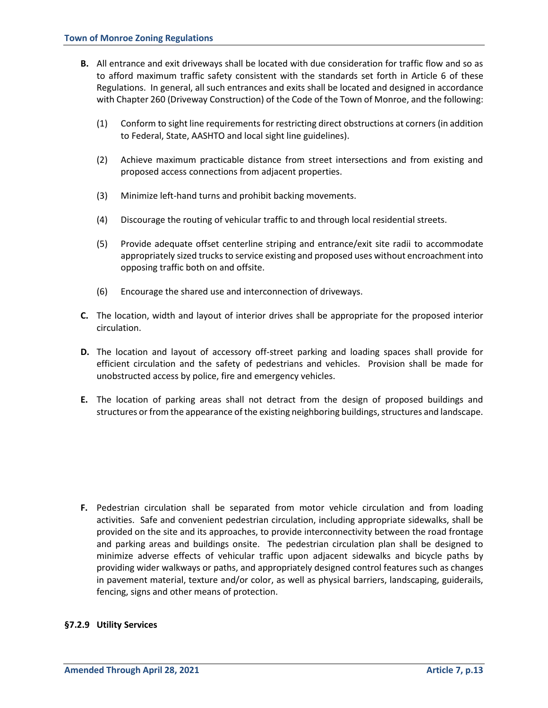- **B.** All entrance and exit driveways shall be located with due consideration for traffic flow and so as to afford maximum traffic safety consistent with the standards set forth in Article 6 of these Regulations. In general, all such entrances and exits shall be located and designed in accordance with Chapter 260 (Driveway Construction) of the Code of the Town of Monroe, and the following:
	- (1) Conform to sight line requirements for restricting direct obstructions at corners (in addition to Federal, State, AASHTO and local sight line guidelines).
	- (2) Achieve maximum practicable distance from street intersections and from existing and proposed access connections from adjacent properties.
	- (3) Minimize left-hand turns and prohibit backing movements.
	- (4) Discourage the routing of vehicular traffic to and through local residential streets.
	- (5) Provide adequate offset centerline striping and entrance/exit site radii to accommodate appropriately sized trucks to service existing and proposed uses without encroachment into opposing traffic both on and offsite.
	- (6) Encourage the shared use and interconnection of driveways.
- **C.** The location, width and layout of interior drives shall be appropriate for the proposed interior circulation.
- **D.** The location and layout of accessory off-street parking and loading spaces shall provide for efficient circulation and the safety of pedestrians and vehicles. Provision shall be made for unobstructed access by police, fire and emergency vehicles.
- **E.** The location of parking areas shall not detract from the design of proposed buildings and structures or from the appearance of the existing neighboring buildings, structures and landscape.

**F.** Pedestrian circulation shall be separated from motor vehicle circulation and from loading activities. Safe and convenient pedestrian circulation, including appropriate sidewalks, shall be provided on the site and its approaches, to provide interconnectivity between the road frontage and parking areas and buildings onsite. The pedestrian circulation plan shall be designed to minimize adverse effects of vehicular traffic upon adjacent sidewalks and bicycle paths by providing wider walkways or paths, and appropriately designed control features such as changes in pavement material, texture and/or color, as well as physical barriers, landscaping, guiderails, fencing, signs and other means of protection.

### **§7.2.9 Utility Services**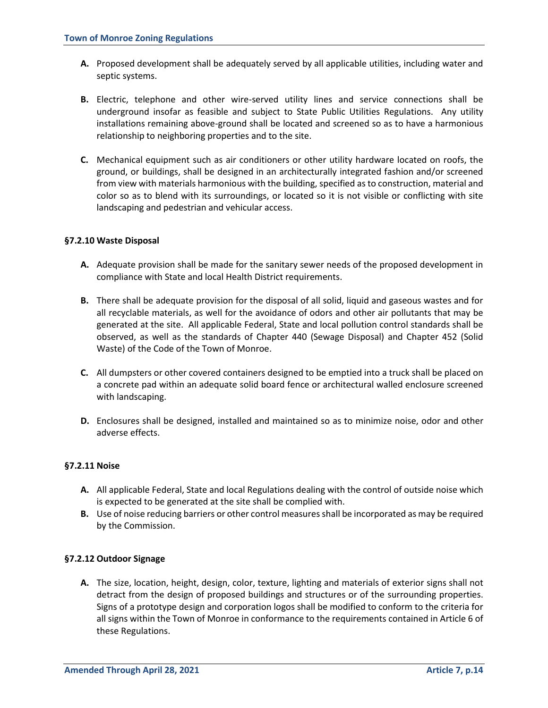- **A.** Proposed development shall be adequately served by all applicable utilities, including water and septic systems.
- **B.** Electric, telephone and other wire-served utility lines and service connections shall be underground insofar as feasible and subject to State Public Utilities Regulations. Any utility installations remaining above-ground shall be located and screened so as to have a harmonious relationship to neighboring properties and to the site.
- **C.** Mechanical equipment such as air conditioners or other utility hardware located on roofs, the ground, or buildings, shall be designed in an architecturally integrated fashion and/or screened from view with materials harmonious with the building, specified as to construction, material and color so as to blend with its surroundings, or located so it is not visible or conflicting with site landscaping and pedestrian and vehicular access.

# **§7.2.10 Waste Disposal**

- **A.** Adequate provision shall be made for the sanitary sewer needs of the proposed development in compliance with State and local Health District requirements.
- **B.** There shall be adequate provision for the disposal of all solid, liquid and gaseous wastes and for all recyclable materials, as well for the avoidance of odors and other air pollutants that may be generated at the site. All applicable Federal, State and local pollution control standards shall be observed, as well as the standards of Chapter 440 (Sewage Disposal) and Chapter 452 (Solid Waste) of the Code of the Town of Monroe.
- **C.** All dumpsters or other covered containers designed to be emptied into a truck shall be placed on a concrete pad within an adequate solid board fence or architectural walled enclosure screened with landscaping.
- **D.** Enclosures shall be designed, installed and maintained so as to minimize noise, odor and other adverse effects.

# **§7.2.11 Noise**

- **A.** All applicable Federal, State and local Regulations dealing with the control of outside noise which is expected to be generated at the site shall be complied with.
- **B.** Use of noise reducing barriers or other control measures shall be incorporated as may be required by the Commission.

#### **§7.2.12 Outdoor Signage**

**A.** The size, location, height, design, color, texture, lighting and materials of exterior signs shall not detract from the design of proposed buildings and structures or of the surrounding properties. Signs of a prototype design and corporation logos shall be modified to conform to the criteria for all signs within the Town of Monroe in conformance to the requirements contained in Article 6 of these Regulations.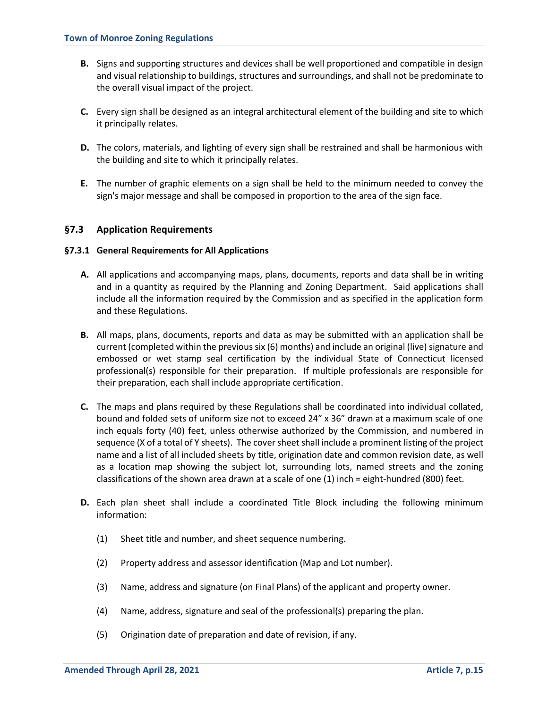- **B.** Signs and supporting structures and devices shall be well proportioned and compatible in design and visual relationship to buildings, structures and surroundings, and shall not be predominate to the overall visual impact of the project.
- **C.** Every sign shall be designed as an integral architectural element of the building and site to which it principally relates.
- **D.** The colors, materials, and lighting of every sign shall be restrained and shall be harmonious with the building and site to which it principally relates.
- **E.** The number of graphic elements on a sign shall be held to the minimum needed to convey the sign's major message and shall be composed in proportion to the area of the sign face.

# **§7.3 Application Requirements**

#### **§7.3.1 General Requirements for All Applications**

- **A.** All applications and accompanying maps, plans, documents, reports and data shall be in writing and in a quantity as required by the Planning and Zoning Department. Said applications shall include all the information required by the Commission and as specified in the application form and these Regulations.
- **B.** All maps, plans, documents, reports and data as may be submitted with an application shall be current (completed within the previous six (6) months) and include an original (live) signature and embossed or wet stamp seal certification by the individual State of Connecticut licensed professional(s) responsible for their preparation. If multiple professionals are responsible for their preparation, each shall include appropriate certification.
- **C.** The maps and plans required by these Regulations shall be coordinated into individual collated, bound and folded sets of uniform size not to exceed 24" x 36" drawn at a maximum scale of one inch equals forty (40) feet, unless otherwise authorized by the Commission, and numbered in sequence (X of a total of Y sheets). The cover sheet shall include a prominent listing of the project name and a list of all included sheets by title, origination date and common revision date, as well as a location map showing the subject lot, surrounding lots, named streets and the zoning classifications of the shown area drawn at a scale of one (1) inch = eight-hundred (800) feet.
- **D.** Each plan sheet shall include a coordinated Title Block including the following minimum information:
	- (1) Sheet title and number, and sheet sequence numbering.
	- (2) Property address and assessor identification (Map and Lot number).
	- (3) Name, address and signature (on Final Plans) of the applicant and property owner.
	- (4) Name, address, signature and seal of the professional(s) preparing the plan.
	- (5) Origination date of preparation and date of revision, if any.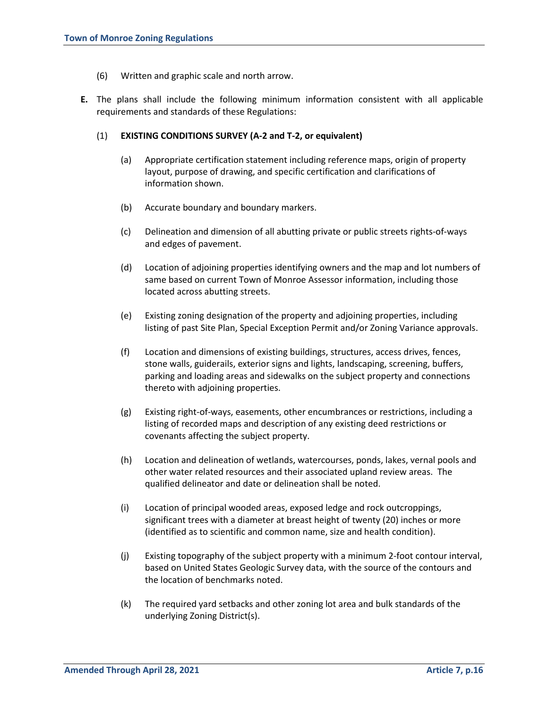- (6) Written and graphic scale and north arrow.
- **E.** The plans shall include the following minimum information consistent with all applicable requirements and standards of these Regulations:

### (1) **EXISTING CONDITIONS SURVEY (A-2 and T-2, or equivalent)**

- (a) Appropriate certification statement including reference maps, origin of property layout, purpose of drawing, and specific certification and clarifications of information shown.
- (b) Accurate boundary and boundary markers.
- (c) Delineation and dimension of all abutting private or public streets rights-of-ways and edges of pavement.
- (d) Location of adjoining properties identifying owners and the map and lot numbers of same based on current Town of Monroe Assessor information, including those located across abutting streets.
- (e) Existing zoning designation of the property and adjoining properties, including listing of past Site Plan, Special Exception Permit and/or Zoning Variance approvals.
- (f) Location and dimensions of existing buildings, structures, access drives, fences, stone walls, guiderails, exterior signs and lights, landscaping, screening, buffers, parking and loading areas and sidewalks on the subject property and connections thereto with adjoining properties.
- (g) Existing right-of-ways, easements, other encumbrances or restrictions, including a listing of recorded maps and description of any existing deed restrictions or covenants affecting the subject property.
- (h) Location and delineation of wetlands, watercourses, ponds, lakes, vernal pools and other water related resources and their associated upland review areas. The qualified delineator and date or delineation shall be noted.
- (i) Location of principal wooded areas, exposed ledge and rock outcroppings, significant trees with a diameter at breast height of twenty (20) inches or more (identified as to scientific and common name, size and health condition).
- (j) Existing topography of the subject property with a minimum 2-foot contour interval, based on United States Geologic Survey data, with the source of the contours and the location of benchmarks noted.
- (k) The required yard setbacks and other zoning lot area and bulk standards of the underlying Zoning District(s).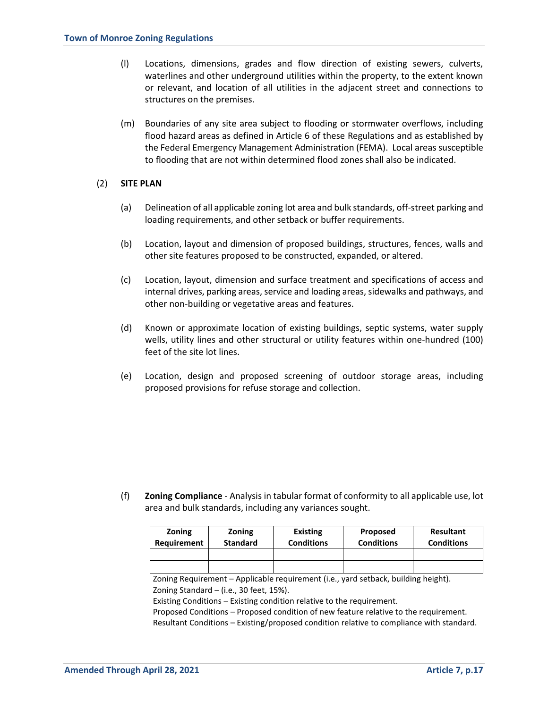- (l) Locations, dimensions, grades and flow direction of existing sewers, culverts, waterlines and other underground utilities within the property, to the extent known or relevant, and location of all utilities in the adjacent street and connections to structures on the premises.
- (m) Boundaries of any site area subject to flooding or stormwater overflows, including flood hazard areas as defined in Article 6 of these Regulations and as established by the Federal Emergency Management Administration (FEMA). Local areas susceptible to flooding that are not within determined flood zones shall also be indicated.

#### (2) **SITE PLAN**

- (a) Delineation of all applicable zoning lot area and bulk standards, off-street parking and loading requirements, and other setback or buffer requirements.
- (b) Location, layout and dimension of proposed buildings, structures, fences, walls and other site features proposed to be constructed, expanded, or altered.
- (c) Location, layout, dimension and surface treatment and specifications of access and internal drives, parking areas, service and loading areas, sidewalks and pathways, and other non-building or vegetative areas and features.
- (d) Known or approximate location of existing buildings, septic systems, water supply wells, utility lines and other structural or utility features within one-hundred (100) feet of the site lot lines.
- (e) Location, design and proposed screening of outdoor storage areas, including proposed provisions for refuse storage and collection.

(f) **Zoning Compliance** - Analysis in tabular format of conformity to all applicable use, lot area and bulk standards, including any variances sought.

| <b>Zoning</b> | Zoning          | <b>Existing</b>   | <b>Proposed</b>   | <b>Resultant</b>  |
|---------------|-----------------|-------------------|-------------------|-------------------|
| Requirement   | <b>Standard</b> | <b>Conditions</b> | <b>Conditions</b> | <b>Conditions</b> |
|               |                 |                   |                   |                   |
|               |                 |                   |                   |                   |

Zoning Requirement – Applicable requirement (i.e., yard setback, building height). Zoning Standard – (i.e., 30 feet, 15%).

Existing Conditions – Existing condition relative to the requirement.

Proposed Conditions – Proposed condition of new feature relative to the requirement.

Resultant Conditions – Existing/proposed condition relative to compliance with standard.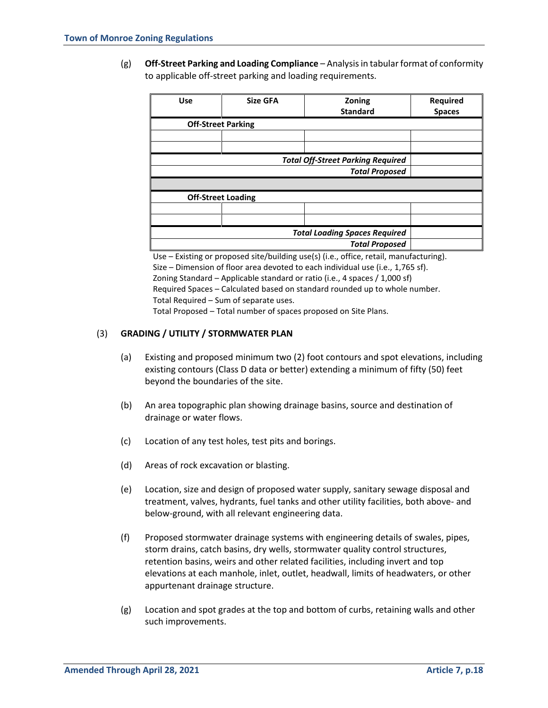(g) **Off-Street Parking and Loading Compliance** – Analysis in tabular format of conformity to applicable off-street parking and loading requirements.

| <b>Use</b>                               | <b>Size GFA</b> | Zoning          | Required      |  |  |
|------------------------------------------|-----------------|-----------------|---------------|--|--|
|                                          |                 | <b>Standard</b> | <b>Spaces</b> |  |  |
| <b>Off-Street Parking</b>                |                 |                 |               |  |  |
|                                          |                 |                 |               |  |  |
|                                          |                 |                 |               |  |  |
| <b>Total Off-Street Parking Required</b> |                 |                 |               |  |  |
|                                          |                 |                 |               |  |  |
|                                          |                 |                 |               |  |  |
| <b>Off-Street Loading</b>                |                 |                 |               |  |  |
|                                          |                 |                 |               |  |  |
|                                          |                 |                 |               |  |  |
| <b>Total Loading Spaces Required</b>     |                 |                 |               |  |  |
|                                          |                 |                 |               |  |  |

Use – Existing or proposed site/building use(s) (i.e., office, retail, manufacturing). Size – Dimension of floor area devoted to each individual use (i.e., 1,765 sf). Zoning Standard – Applicable standard or ratio (i.e., 4 spaces / 1,000 sf) Required Spaces – Calculated based on standard rounded up to whole number. Total Required – Sum of separate uses. Total Proposed – Total number of spaces proposed on Site Plans.

# (3) **GRADING / UTILITY / STORMWATER PLAN**

- (a) Existing and proposed minimum two (2) foot contours and spot elevations, including existing contours (Class D data or better) extending a minimum of fifty (50) feet beyond the boundaries of the site.
- (b) An area topographic plan showing drainage basins, source and destination of drainage or water flows.
- (c) Location of any test holes, test pits and borings.
- (d) Areas of rock excavation or blasting.
- (e) Location, size and design of proposed water supply, sanitary sewage disposal and treatment, valves, hydrants, fuel tanks and other utility facilities, both above- and below-ground, with all relevant engineering data.
- (f) Proposed stormwater drainage systems with engineering details of swales, pipes, storm drains, catch basins, dry wells, stormwater quality control structures, retention basins, weirs and other related facilities, including invert and top elevations at each manhole, inlet, outlet, headwall, limits of headwaters, or other appurtenant drainage structure.
- (g) Location and spot grades at the top and bottom of curbs, retaining walls and other such improvements.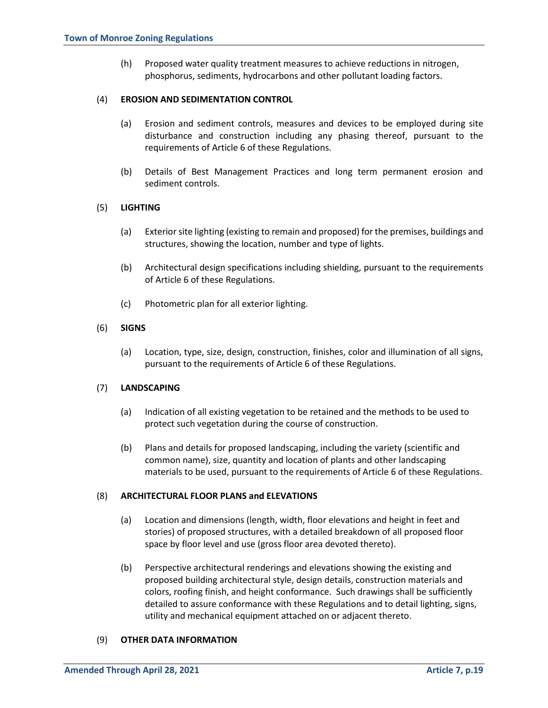(h) Proposed water quality treatment measures to achieve reductions in nitrogen, phosphorus, sediments, hydrocarbons and other pollutant loading factors.

### (4) **EROSION AND SEDIMENTATION CONTROL**

- (a) Erosion and sediment controls, measures and devices to be employed during site disturbance and construction including any phasing thereof, pursuant to the requirements of Article 6 of these Regulations.
- (b) Details of Best Management Practices and long term permanent erosion and sediment controls.

# (5) **LIGHTING**

- (a) Exteriorsite lighting (existing to remain and proposed) for the premises, buildings and structures, showing the location, number and type of lights.
- (b) Architectural design specifications including shielding, pursuant to the requirements of Article 6 of these Regulations.
- (c) Photometric plan for all exterior lighting.

### (6) **SIGNS**

(a) Location, type, size, design, construction, finishes, color and illumination of all signs, pursuant to the requirements of Article 6 of these Regulations.

#### (7) **LANDSCAPING**

- (a) Indication of all existing vegetation to be retained and the methods to be used to protect such vegetation during the course of construction.
- (b) Plans and details for proposed landscaping, including the variety (scientific and common name), size, quantity and location of plants and other landscaping materials to be used, pursuant to the requirements of Article 6 of these Regulations.

#### (8) **ARCHITECTURAL FLOOR PLANS and ELEVATIONS**

- (a) Location and dimensions (length, width, floor elevations and height in feet and stories) of proposed structures, with a detailed breakdown of all proposed floor space by floor level and use (gross floor area devoted thereto).
- (b) Perspective architectural renderings and elevations showing the existing and proposed building architectural style, design details, construction materials and colors, roofing finish, and height conformance. Such drawings shall be sufficiently detailed to assure conformance with these Regulations and to detail lighting, signs, utility and mechanical equipment attached on or adjacent thereto.

#### (9) **OTHER DATA INFORMATION**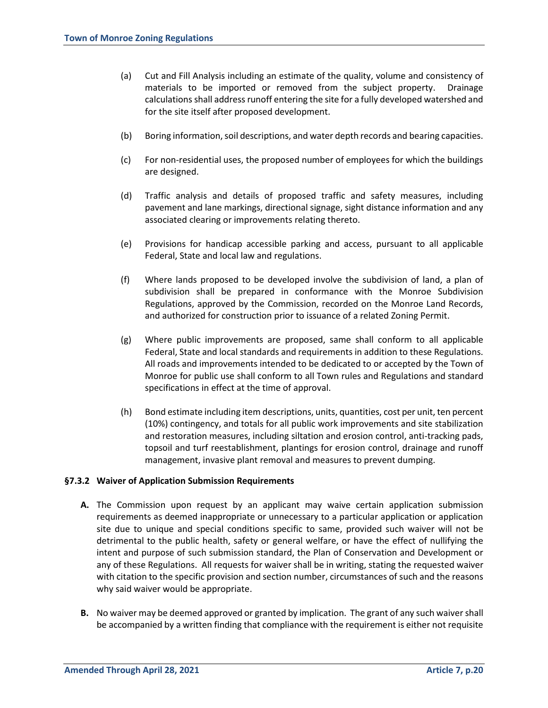- (a) Cut and Fill Analysis including an estimate of the quality, volume and consistency of materials to be imported or removed from the subject property. Drainage calculations shall address runoff entering the site for a fully developed watershed and for the site itself after proposed development.
- (b) Boring information, soil descriptions, and water depth records and bearing capacities.
- (c) For non-residential uses, the proposed number of employees for which the buildings are designed.
- (d) Traffic analysis and details of proposed traffic and safety measures, including pavement and lane markings, directional signage, sight distance information and any associated clearing or improvements relating thereto.
- (e) Provisions for handicap accessible parking and access, pursuant to all applicable Federal, State and local law and regulations.
- (f) Where lands proposed to be developed involve the subdivision of land, a plan of subdivision shall be prepared in conformance with the Monroe Subdivision Regulations, approved by the Commission, recorded on the Monroe Land Records, and authorized for construction prior to issuance of a related Zoning Permit.
- (g) Where public improvements are proposed, same shall conform to all applicable Federal, State and local standards and requirements in addition to these Regulations. All roads and improvements intended to be dedicated to or accepted by the Town of Monroe for public use shall conform to all Town rules and Regulations and standard specifications in effect at the time of approval.
- (h) Bond estimate including item descriptions, units, quantities, cost per unit, ten percent (10%) contingency, and totals for all public work improvements and site stabilization and restoration measures, including siltation and erosion control, anti-tracking pads, topsoil and turf reestablishment, plantings for erosion control, drainage and runoff management, invasive plant removal and measures to prevent dumping.

#### **§7.3.2 Waiver of Application Submission Requirements**

- **A.** The Commission upon request by an applicant may waive certain application submission requirements as deemed inappropriate or unnecessary to a particular application or application site due to unique and special conditions specific to same, provided such waiver will not be detrimental to the public health, safety or general welfare, or have the effect of nullifying the intent and purpose of such submission standard, the Plan of Conservation and Development or any of these Regulations. All requests for waiver shall be in writing, stating the requested waiver with citation to the specific provision and section number, circumstances of such and the reasons why said waiver would be appropriate.
- **B.** No waiver may be deemed approved or granted by implication. The grant of any such waiver shall be accompanied by a written finding that compliance with the requirement is either not requisite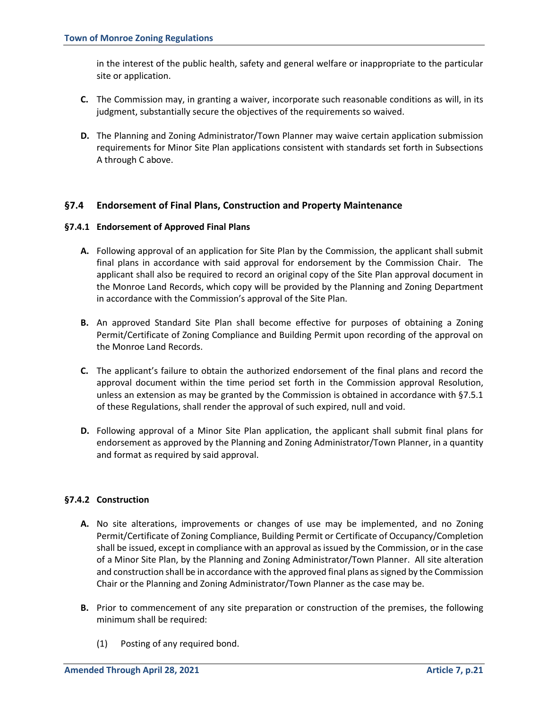in the interest of the public health, safety and general welfare or inappropriate to the particular site or application.

- **C.** The Commission may, in granting a waiver, incorporate such reasonable conditions as will, in its judgment, substantially secure the objectives of the requirements so waived.
- **D.** The Planning and Zoning Administrator/Town Planner may waive certain application submission requirements for Minor Site Plan applications consistent with standards set forth in Subsections A through C above.

# **§7.4 Endorsement of Final Plans, Construction and Property Maintenance**

### **§7.4.1 Endorsement of Approved Final Plans**

- **A.** Following approval of an application for Site Plan by the Commission, the applicant shall submit final plans in accordance with said approval for endorsement by the Commission Chair. The applicant shall also be required to record an original copy of the Site Plan approval document in the Monroe Land Records, which copy will be provided by the Planning and Zoning Department in accordance with the Commission's approval of the Site Plan.
- **B.** An approved Standard Site Plan shall become effective for purposes of obtaining a Zoning Permit/Certificate of Zoning Compliance and Building Permit upon recording of the approval on the Monroe Land Records.
- **C.** The applicant's failure to obtain the authorized endorsement of the final plans and record the approval document within the time period set forth in the Commission approval Resolution, unless an extension as may be granted by the Commission is obtained in accordance with §7.5.1 of these Regulations, shall render the approval of such expired, null and void.
- **D.** Following approval of a Minor Site Plan application, the applicant shall submit final plans for endorsement as approved by the Planning and Zoning Administrator/Town Planner, in a quantity and format as required by said approval.

# **§7.4.2 Construction**

- **A.** No site alterations, improvements or changes of use may be implemented, and no Zoning Permit/Certificate of Zoning Compliance, Building Permit or Certificate of Occupancy/Completion shall be issued, except in compliance with an approval as issued by the Commission, or in the case of a Minor Site Plan, by the Planning and Zoning Administrator/Town Planner. All site alteration and construction shall be in accordance with the approved final plans as signed by the Commission Chair or the Planning and Zoning Administrator/Town Planner as the case may be.
- **B.** Prior to commencement of any site preparation or construction of the premises, the following minimum shall be required:
	- (1) Posting of any required bond.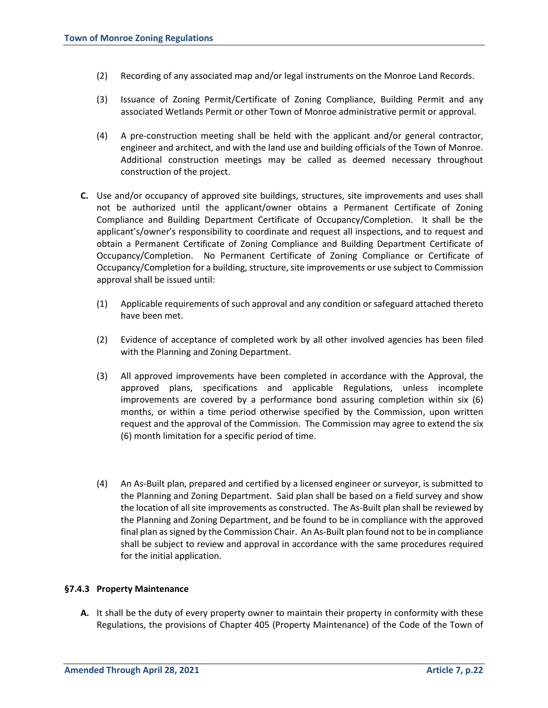- (2) Recording of any associated map and/or legal instruments on the Monroe Land Records.
- (3) Issuance of Zoning Permit/Certificate of Zoning Compliance, Building Permit and any associated Wetlands Permit or other Town of Monroe administrative permit or approval.
- (4) A pre-construction meeting shall be held with the applicant and/or general contractor, engineer and architect, and with the land use and building officials of the Town of Monroe. Additional construction meetings may be called as deemed necessary throughout construction of the project.
- **C.** Use and/or occupancy of approved site buildings, structures, site improvements and uses shall not be authorized until the applicant/owner obtains a Permanent Certificate of Zoning Compliance and Building Department Certificate of Occupancy/Completion. It shall be the applicant's/owner's responsibility to coordinate and request all inspections, and to request and obtain a Permanent Certificate of Zoning Compliance and Building Department Certificate of Occupancy/Completion. No Permanent Certificate of Zoning Compliance or Certificate of Occupancy/Completion for a building, structure, site improvements or use subject to Commission approval shall be issued until:
	- (1) Applicable requirements of such approval and any condition or safeguard attached thereto have been met.
	- (2) Evidence of acceptance of completed work by all other involved agencies has been filed with the Planning and Zoning Department.
	- (3) All approved improvements have been completed in accordance with the Approval, the approved plans, specifications and applicable Regulations, unless incomplete improvements are covered by a performance bond assuring completion within six (6) months, or within a time period otherwise specified by the Commission, upon written request and the approval of the Commission. The Commission may agree to extend the six (6) month limitation for a specific period of time.
	- (4) An As-Built plan, prepared and certified by a licensed engineer or surveyor, is submitted to the Planning and Zoning Department. Said plan shall be based on a field survey and show the location of all site improvements as constructed. The As-Built plan shall be reviewed by the Planning and Zoning Department, and be found to be in compliance with the approved final plan as signed by the Commission Chair. An As-Built plan found not to be in compliance shall be subject to review and approval in accordance with the same procedures required for the initial application.

# **§7.4.3 Property Maintenance**

**A.** It shall be the duty of every property owner to maintain their property in conformity with these Regulations, the provisions of Chapter 405 (Property Maintenance) of the Code of the Town of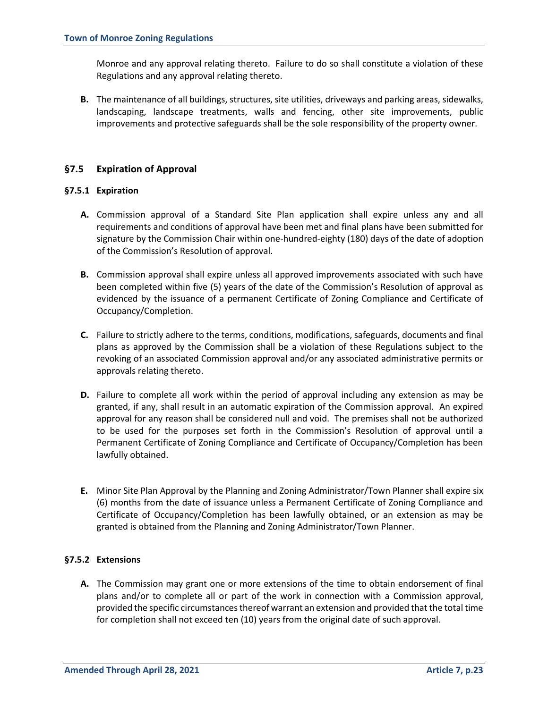Monroe and any approval relating thereto. Failure to do so shall constitute a violation of these Regulations and any approval relating thereto.

**B.** The maintenance of all buildings, structures, site utilities, driveways and parking areas, sidewalks, landscaping, landscape treatments, walls and fencing, other site improvements, public improvements and protective safeguards shall be the sole responsibility of the property owner.

# **§7.5 Expiration of Approval**

### **§7.5.1 Expiration**

- **A.** Commission approval of a Standard Site Plan application shall expire unless any and all requirements and conditions of approval have been met and final plans have been submitted for signature by the Commission Chair within one-hundred-eighty (180) days of the date of adoption of the Commission's Resolution of approval.
- **B.** Commission approval shall expire unless all approved improvements associated with such have been completed within five (5) years of the date of the Commission's Resolution of approval as evidenced by the issuance of a permanent Certificate of Zoning Compliance and Certificate of Occupancy/Completion.
- **C.** Failure to strictly adhere to the terms, conditions, modifications, safeguards, documents and final plans as approved by the Commission shall be a violation of these Regulations subject to the revoking of an associated Commission approval and/or any associated administrative permits or approvals relating thereto.
- **D.** Failure to complete all work within the period of approval including any extension as may be granted, if any, shall result in an automatic expiration of the Commission approval. An expired approval for any reason shall be considered null and void. The premises shall not be authorized to be used for the purposes set forth in the Commission's Resolution of approval until a Permanent Certificate of Zoning Compliance and Certificate of Occupancy/Completion has been lawfully obtained.
- **E.** Minor Site Plan Approval by the Planning and Zoning Administrator/Town Planner shall expire six (6) months from the date of issuance unless a Permanent Certificate of Zoning Compliance and Certificate of Occupancy/Completion has been lawfully obtained, or an extension as may be granted is obtained from the Planning and Zoning Administrator/Town Planner.

# **§7.5.2 Extensions**

**A.** The Commission may grant one or more extensions of the time to obtain endorsement of final plans and/or to complete all or part of the work in connection with a Commission approval, provided the specific circumstances thereof warrant an extension and provided that the total time for completion shall not exceed ten (10) years from the original date of such approval.